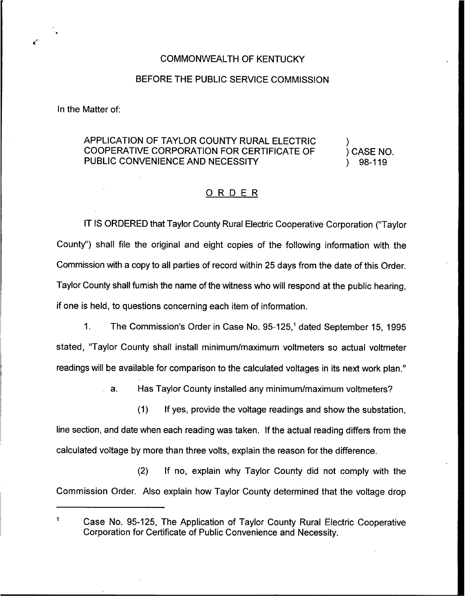## COMMONWEALTH OF KENTUCKY

## BEFORE THE PUBLIC SERVICE COMMISSION

In the Matter of:

ë

## APPLICATION OF TAYLOR COUNTY RURAI ELECTRIC COOPERATIVE CORPORATION FOR CERTIFICATE OF PUBLIC CONVENIENCE AND NECESSITY

) ) CASE NO. ) 98-119

## ORDER

IT IS ORDERED that Taylor County Rural Electric Cooperative Corporation {"Taylor County") shall file the original and eight copies of the following information with the Commission with a copy to all parties of record within 25 days from the date of this Order, Taylor County shall furnish the name of the witness who will respond at the public hearing, if one is held, to questions concerning each item of information.

1. The Commission's Order in Case No. 95-125,<sup>1</sup> dated September 15, 1995 stated, "Taylor County shall install minimum/maximum voltmeters so actual voltmeter readings will be available for comparison to the calculated voltages in its next work plan."

a. Has Taylor County installed any minimum/maximum voltmeters?

(1) If yes, provide the voltage readings and show the substation, line section, and date when each reading was taken. If the actual reading differs from the calculated voltage by more than three volts, explain the reason for the difference.

{2) If no, explain why Taylor County did not comply with the Commission Order. Also explain how Taylor County determined that the voltage drop

 $\mathbf{1}$ Case No. 95-125, The Application of Taylor County Rural Electric Cooperative Corporation for Certificate of Public Convenience and Necessity.